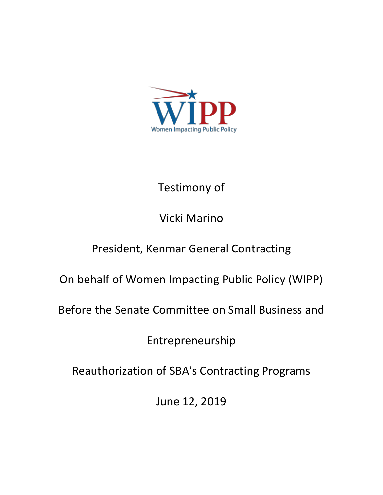

## Testimony of

## Vicki Marino

## President, Kenmar General Contracting

On behalf of Women Impacting Public Policy (WIPP)

Before the Senate Committee on Small Business and

Entrepreneurship

Reauthorization of SBA's Contracting Programs

June 12, 2019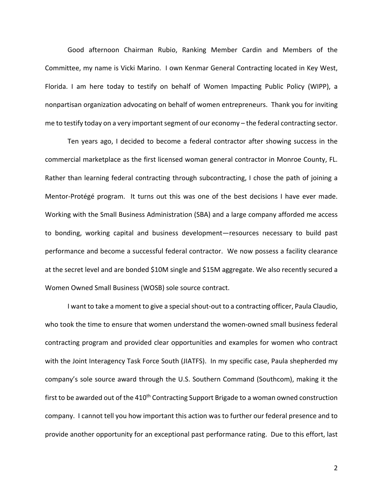Good afternoon Chairman Rubio, Ranking Member Cardin and Members of the Committee, my name is Vicki Marino. I own Kenmar General Contracting located in Key West, Florida. I am here today to testify on behalf of Women Impacting Public Policy (WIPP), a nonpartisan organization advocating on behalf of women entrepreneurs. Thank you for inviting me to testify today on a very important segment of our economy – the federal contracting sector.

Ten years ago, I decided to become a federal contractor after showing success in the commercial marketplace as the first licensed woman general contractor in Monroe County, FL. Rather than learning federal contracting through subcontracting, I chose the path of joining a Mentor-Protégé program. It turns out this was one of the best decisions I have ever made. Working with the Small Business Administration (SBA) and a large company afforded me access to bonding, working capital and business development—resources necessary to build past performance and become a successful federal contractor. We now possess a facility clearance at the secret level and are bonded \$10M single and \$15M aggregate. We also recently secured a Women Owned Small Business (WOSB) sole source contract.

I want to take a moment to give a special shout-out to a contracting officer, Paula Claudio, who took the time to ensure that women understand the women-owned small business federal contracting program and provided clear opportunities and examples for women who contract with the Joint Interagency Task Force South (JIATFS). In my specific case, Paula shepherded my company's sole source award through the U.S. Southern Command (Southcom), making it the first to be awarded out of the 410<sup>th</sup> Contracting Support Brigade to a woman owned construction company. I cannot tell you how important this action was to further our federal presence and to provide another opportunity for an exceptional past performance rating. Due to this effort, last

2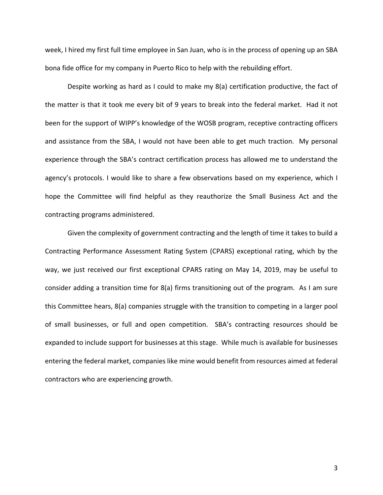week, I hired my first full time employee in San Juan, who is in the process of opening up an SBA bona fide office for my company in Puerto Rico to help with the rebuilding effort.

Despite working as hard as I could to make my 8(a) certification productive, the fact of the matter is that it took me every bit of 9 years to break into the federal market. Had it not been for the support of WIPP's knowledge of the WOSB program, receptive contracting officers and assistance from the SBA, I would not have been able to get much traction. My personal experience through the SBA's contract certification process has allowed me to understand the agency's protocols. I would like to share a few observations based on my experience, which I hope the Committee will find helpful as they reauthorize the Small Business Act and the contracting programs administered.

Given the complexity of government contracting and the length of time it takes to build a Contracting Performance Assessment Rating System (CPARS) exceptional rating, which by the way, we just received our first exceptional CPARS rating on May 14, 2019, may be useful to consider adding a transition time for 8(a) firms transitioning out of the program. As I am sure this Committee hears, 8(a) companies struggle with the transition to competing in a larger pool of small businesses, or full and open competition. SBA's contracting resources should be expanded to include support for businesses at this stage. While much is available for businesses entering the federal market, companies like mine would benefit from resources aimed at federal contractors who are experiencing growth.

3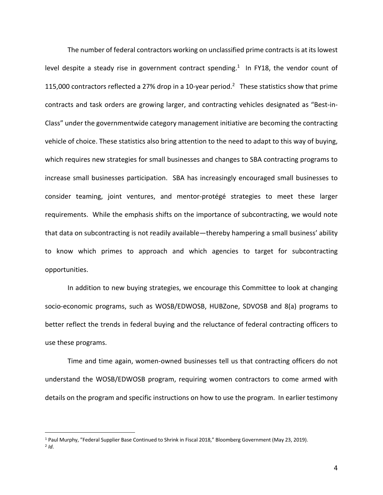The number of federal contractors working on unclassified prime contracts is at its lowest level despite a steady rise in government contract spending.<sup>1</sup> In FY18, the vendor count of 115,000 contractors reflected a 27% drop in a 10-year period.<sup>2</sup> These statistics show that prime contracts and task orders are growing larger, and contracting vehicles designated as "Best-in-Class" under the governmentwide category management initiative are becoming the contracting vehicle of choice. These statistics also bring attention to the need to adapt to this way of buying, which requires new strategies for small businesses and changes to SBA contracting programs to increase small businesses participation. SBA has increasingly encouraged small businesses to consider teaming, joint ventures, and mentor-protégé strategies to meet these larger requirements. While the emphasis shifts on the importance of subcontracting, we would note that data on subcontracting is not readily available—thereby hampering a small business' ability to know which primes to approach and which agencies to target for subcontracting opportunities.

In addition to new buying strategies, we encourage this Committee to look at changing socio-economic programs, such as WOSB/EDWOSB, HUBZone, SDVOSB and 8(a) programs to better reflect the trends in federal buying and the reluctance of federal contracting officers to use these programs.

Time and time again, women-owned businesses tell us that contracting officers do not understand the WOSB/EDWOSB program, requiring women contractors to come armed with details on the program and specific instructions on how to use the program. In earlier testimony

 <sup>1</sup> Paul Murphy, "Federal Supplier Base Continued to Shrink in Fiscal 2018," Bloomberg Government (May 23, 2019).  $2$   $Id.$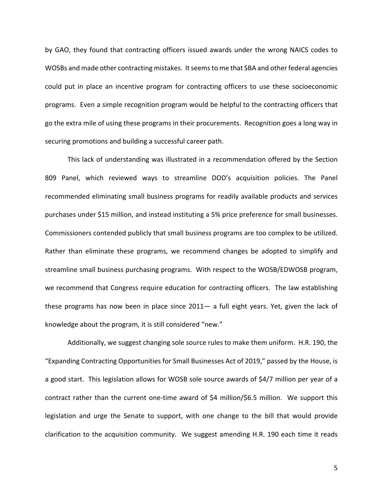by GAO, they found that contracting officers issued awards under the wrong NAICS codes to WOSBs and made other contracting mistakes. It seems to me that SBA and other federal agencies could put in place an incentive program for contracting officers to use these socioeconomic programs. Even a simple recognition program would be helpful to the contracting officers that go the extra mile of using these programs in their procurements. Recognition goes a long way in securing promotions and building a successful career path.

This lack of understanding was illustrated in a recommendation offered by the Section 809 Panel, which reviewed ways to streamline DOD's acquisition policies. The Panel recommended eliminating small business programs for readily available products and services purchases under \$15 million, and instead instituting a 5% price preference for small businesses. Commissioners contended publicly that small business programs are too complex to be utilized. Rather than eliminate these programs, we recommend changes be adopted to simplify and streamline small business purchasing programs. With respect to the WOSB/EDWOSB program, we recommend that Congress require education for contracting officers. The law establishing these programs has now been in place since 2011— a full eight years. Yet, given the lack of knowledge about the program, it is still considered "new."

Additionally, we suggest changing sole source rules to make them uniform. H.R. 190, the "Expanding Contracting Opportunities for Small Businesses Act of 2019," passed by the House, is a good start. This legislation allows for WOSB sole source awards of \$4/7 million per year of a contract rather than the current one-time award of \$4 million/\$6.5 million. We support this legislation and urge the Senate to support, with one change to the bill that would provide clarification to the acquisition community. We suggest amending H.R. 190 each time it reads

5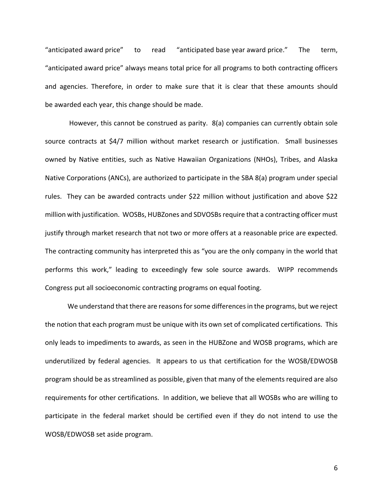"anticipated award price" to read "anticipated base year award price." The term, "anticipated award price" always means total price for all programs to both contracting officers and agencies. Therefore, in order to make sure that it is clear that these amounts should be awarded each year, this change should be made.

However, this cannot be construed as parity. 8(a) companies can currently obtain sole source contracts at \$4/7 million without market research or justification. Small businesses owned by Native entities, such as Native Hawaiian Organizations (NHOs), Tribes, and Alaska Native Corporations (ANCs), are authorized to participate in the SBA 8(a) program under special rules. They can be awarded contracts under \$22 million without justification and above \$22 million with justification. WOSBs, HUBZones and SDVOSBs require that a contracting officer must justify through market research that not two or more offers at a reasonable price are expected. The contracting community has interpreted this as "you are the only company in the world that performs this work," leading to exceedingly few sole source awards. WIPP recommends Congress put all socioeconomic contracting programs on equal footing.

We understand that there are reasons for some differences in the programs, but we reject the notion that each program must be unique with its own set of complicated certifications. This only leads to impediments to awards, as seen in the HUBZone and WOSB programs, which are underutilized by federal agencies. It appears to us that certification for the WOSB/EDWOSB program should be as streamlined as possible, given that many of the elements required are also requirements for other certifications. In addition, we believe that all WOSBs who are willing to participate in the federal market should be certified even if they do not intend to use the WOSB/EDWOSB set aside program.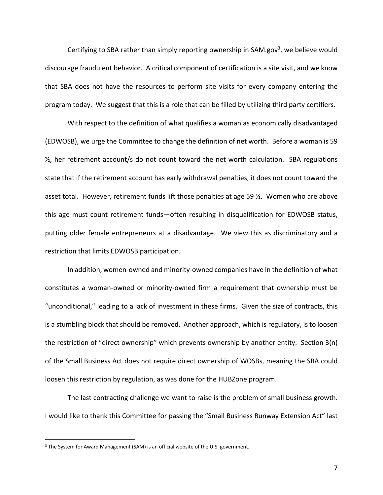Certifying to SBA rather than simply reporting ownership in SAM.gov<sup>3</sup>, we believe would discourage fraudulent behavior. A critical component of certification is a site visit, and we know that SBA does not have the resources to perform site visits for every company entering the program today. We suggest that this is a role that can be filled by utilizing third party certifiers.

With respect to the definition of what qualifies a woman as economically disadvantaged (EDWOSB), we urge the Committee to change the definition of net worth. Before a woman is 59 ½, her retirement account/s do not count toward the net worth calculation. SBA regulations state that if the retirement account has early withdrawal penalties, it does not count toward the asset total. However, retirement funds lift those penalties at age 59 ½. Women who are above this age must count retirement funds—often resulting in disqualification for EDWOSB status, putting older female entrepreneurs at a disadvantage. We view this as discriminatory and a restriction that limits EDWOSB participation.

In addition, women-owned and minority-owned companies have in the definition of what constitutes a woman-owned or minority-owned firm a requirement that ownership must be "unconditional," leading to a lack of investment in these firms. Given the size of contracts, this is a stumbling block that should be removed. Another approach, which is regulatory, is to loosen the restriction of "direct ownership" which prevents ownership by another entity. Section 3(n) of the Small Business Act does not require direct ownership of WOSBs, meaning the SBA could loosen this restriction by regulation, as was done for the HUBZone program.

The last contracting challenge we want to raise is the problem of small business growth. I would like to thank this Committee for passing the "Small Business Runway Extension Act" last

<sup>&</sup>lt;sup>3</sup> The System for Award Management (SAM) is an official website of the U.S. government.